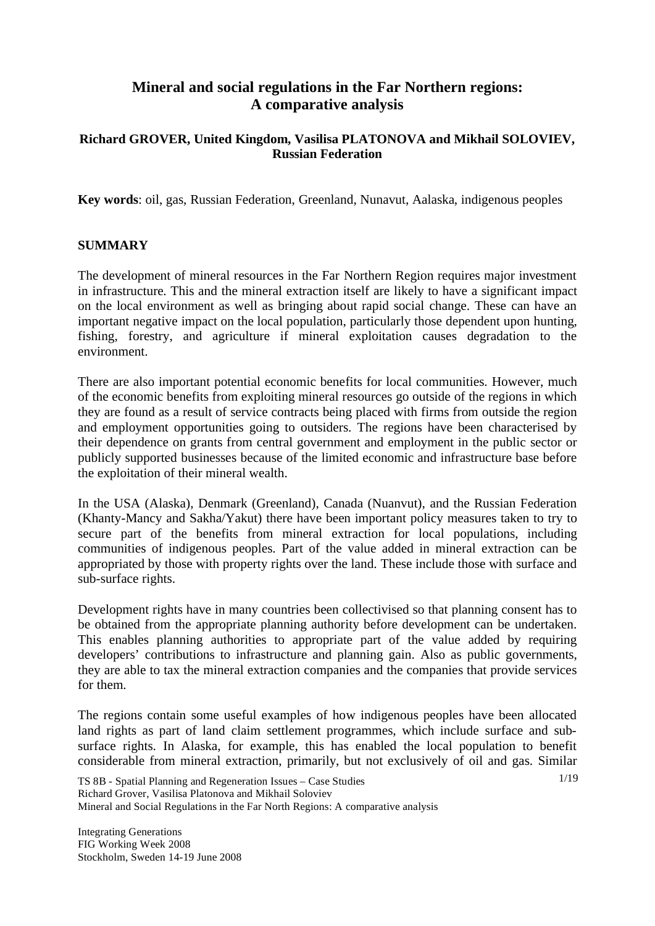# **Mineral and social regulations in the Far Northern regions: A comparative analysis**

## **Richard GROVER, United Kingdom, Vasilisa PLATONOVA and Mikhail SOLOVIEV, Russian Federation**

**Key words**: oil, gas, Russian Federation, Greenland, Nunavut, Aalaska, indigenous peoples

## **SUMMARY**

The development of mineral resources in the Far Northern Region requires major investment in infrastructure. This and the mineral extraction itself are likely to have a significant impact on the local environment as well as bringing about rapid social change. These can have an important negative impact on the local population, particularly those dependent upon hunting, fishing, forestry, and agriculture if mineral exploitation causes degradation to the environment.

There are also important potential economic benefits for local communities. However, much of the economic benefits from exploiting mineral resources go outside of the regions in which they are found as a result of service contracts being placed with firms from outside the region and employment opportunities going to outsiders. The regions have been characterised by their dependence on grants from central government and employment in the public sector or publicly supported businesses because of the limited economic and infrastructure base before the exploitation of their mineral wealth.

In the USA (Alaska), Denmark (Greenland), Canada (Nuanvut), and the Russian Federation (Khanty-Mancy and Sakha/Yakut) there have been important policy measures taken to try to secure part of the benefits from mineral extraction for local populations, including communities of indigenous peoples. Part of the value added in mineral extraction can be appropriated by those with property rights over the land. These include those with surface and sub-surface rights.

Development rights have in many countries been collectivised so that planning consent has to be obtained from the appropriate planning authority before development can be undertaken. This enables planning authorities to appropriate part of the value added by requiring developers' contributions to infrastructure and planning gain. Also as public governments, they are able to tax the mineral extraction companies and the companies that provide services for them.

The regions contain some useful examples of how indigenous peoples have been allocated land rights as part of land claim settlement programmes, which include surface and subsurface rights. In Alaska, for example, this has enabled the local population to benefit considerable from mineral extraction, primarily, but not exclusively of oil and gas. Similar

1/19

TS 8B - Spatial Planning and Regeneration Issues – Case Studies Richard Grover, Vasilisa Platonova and Mikhail Soloviev Mineral and Social Regulations in the Far North Regions: A comparative analysis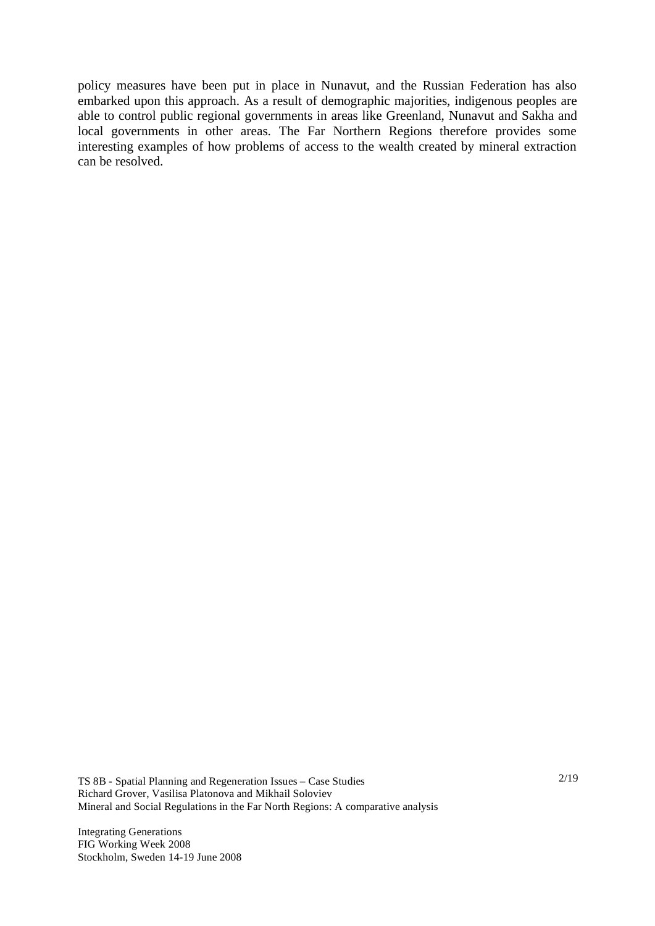policy measures have been put in place in Nunavut, and the Russian Federation has also embarked upon this approach. As a result of demographic majorities, indigenous peoples are able to control public regional governments in areas like Greenland, Nunavut and Sakha and local governments in other areas. The Far Northern Regions therefore provides some interesting examples of how problems of access to the wealth created by mineral extraction can be resolved.

TS 8B - Spatial Planning and Regeneration Issues – Case Studies Richard Grover, Vasilisa Platonova and Mikhail Soloviev Mineral and Social Regulations in the Far North Regions: A comparative analysis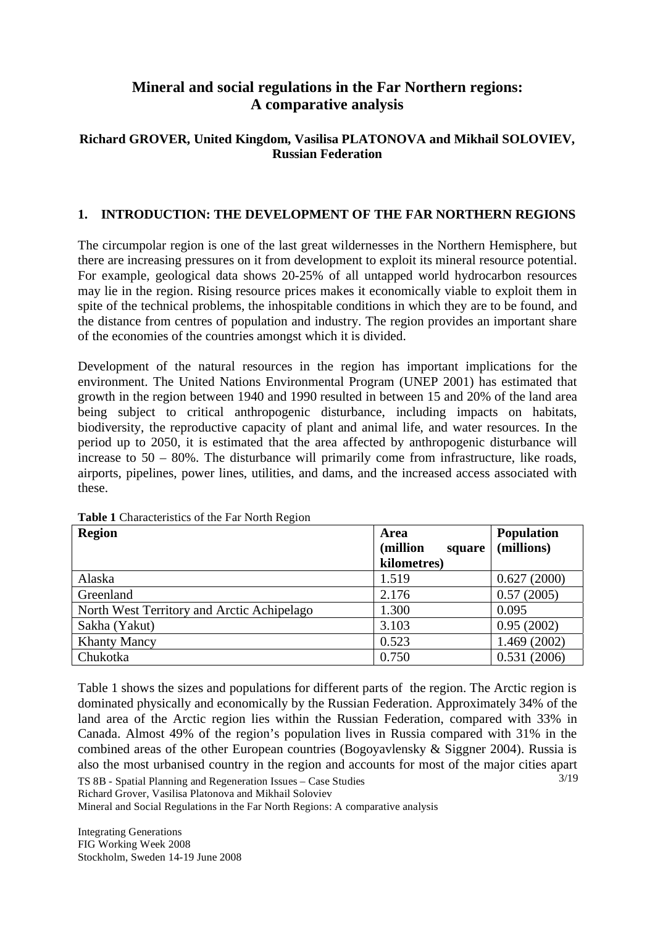# **Mineral and social regulations in the Far Northern regions: A comparative analysis**

## **Richard GROVER, United Kingdom, Vasilisa PLATONOVA and Mikhail SOLOVIEV, Russian Federation**

## **1. INTRODUCTION: THE DEVELOPMENT OF THE FAR NORTHERN REGIONS**

The circumpolar region is one of the last great wildernesses in the Northern Hemisphere, but there are increasing pressures on it from development to exploit its mineral resource potential. For example, geological data shows 20-25% of all untapped world hydrocarbon resources may lie in the region. Rising resource prices makes it economically viable to exploit them in spite of the technical problems, the inhospitable conditions in which they are to be found, and the distance from centres of population and industry. The region provides an important share of the economies of the countries amongst which it is divided.

Development of the natural resources in the region has important implications for the environment. The United Nations Environmental Program (UNEP 2001) has estimated that growth in the region between 1940 and 1990 resulted in between 15 and 20% of the land area being subject to critical anthropogenic disturbance, including impacts on habitats, biodiversity, the reproductive capacity of plant and animal life, and water resources. In the period up to 2050, it is estimated that the area affected by anthropogenic disturbance will increase to 50 – 80%. The disturbance will primarily come from infrastructure, like roads, airports, pipelines, power lines, utilities, and dams, and the increased access associated with these.

| <b>Region</b>                              | Area<br>(million<br>square | <b>Population</b><br>(millions) |
|--------------------------------------------|----------------------------|---------------------------------|
|                                            | kilometres)                |                                 |
| Alaska                                     | 1.519                      | 0.627(2000)                     |
| Greenland                                  | 2.176                      | 0.57(2005)                      |
| North West Territory and Arctic Achipelago | 1.300                      | 0.095                           |
| Sakha (Yakut)                              | 3.103                      | 0.95(2002)                      |
| <b>Khanty Mancy</b>                        | 0.523                      | 1.469 (2002)                    |
| Chukotka                                   | 0.750                      | 0.531(2006)                     |

**Table 1** Characteristics of the Far North Region

3/19 Table 1 shows the sizes and populations for different parts of the region. The Arctic region is dominated physically and economically by the Russian Federation. Approximately 34% of the land area of the Arctic region lies within the Russian Federation, compared with 33% in Canada. Almost 49% of the region's population lives in Russia compared with 31% in the combined areas of the other European countries (Bogoyavlensky & Siggner 2004). Russia is also the most urbanised country in the region and accounts for most of the major cities apart

TS 8B - Spatial Planning and Regeneration Issues – Case Studies Richard Grover, Vasilisa Platonova and Mikhail Soloviev

Mineral and Social Regulations in the Far North Regions: A comparative analysis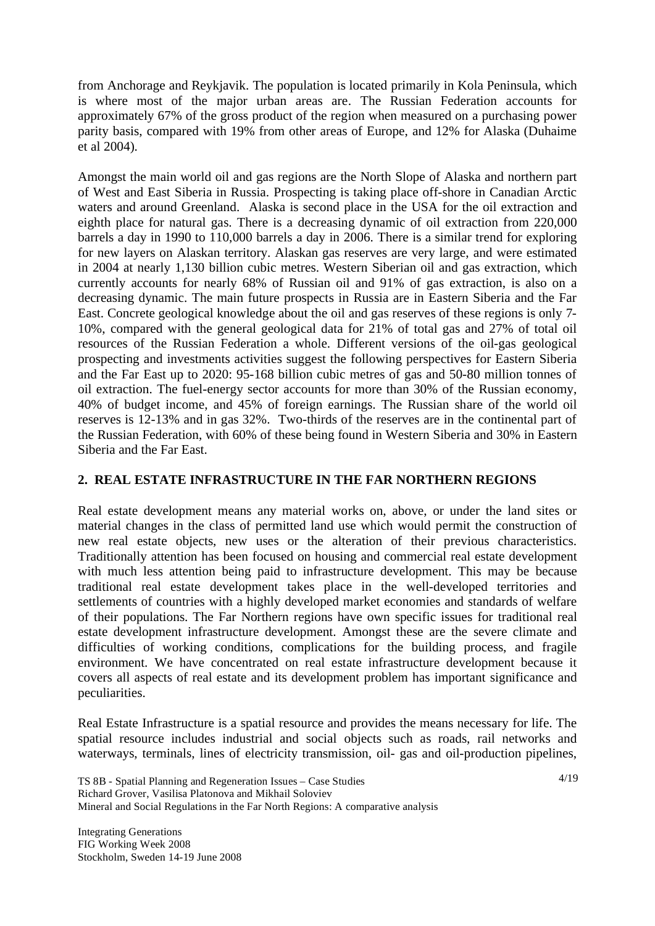from Anchorage and Reykjavik. The population is located primarily in Kola Peninsula, which is where most of the major urban areas are. The Russian Federation accounts for approximately 67% of the gross product of the region when measured on a purchasing power parity basis, compared with 19% from other areas of Europe, and 12% for Alaska (Duhaime et al 2004).

Amongst the main world oil and gas regions are the North Slope of Alaska and northern part of West and East Siberia in Russia. Prospecting is taking place off-shore in Canadian Arctic waters and around Greenland. Alaska is second place in the USA for the oil extraction and eighth place for natural gas. There is a decreasing dynamic of oil extraction from 220,000 barrels a day in 1990 to 110,000 barrels a day in 2006. There is a similar trend for exploring for new layers on Alaskan territory. Alaskan gas reserves are very large, and were estimated in 2004 at nearly 1,130 billion cubic metres. Western Siberian oil and gas extraction, which currently accounts for nearly 68% of Russian oil and 91% of gas extraction, is also on a decreasing dynamic. The main future prospects in Russia are in Eastern Siberia and the Far East. Concrete geological knowledge about the oil and gas reserves of these regions is only 7- 10%, compared with the general geological data for 21% of total gas and 27% of total oil resources of the Russian Federation a whole. Different versions of the oil-gas geological prospecting and investments activities suggest the following perspectives for Eastern Siberia and the Far East up to 2020: 95-168 billion cubic metres of gas and 50-80 million tonnes of oil extraction. The fuel-energy sector accounts for more than 30% of the Russian economy, 40% of budget income, and 45% of foreign earnings. The Russian share of the world oil reserves is 12-13% and in gas 32%. Two-thirds of the reserves are in the continental part of the Russian Federation, with 60% of these being found in Western Siberia and 30% in Eastern Siberia and the Far East.

## **2. REAL ESTATE INFRASTRUCTURE IN THE FAR NORTHERN REGIONS**

Real estate development means any material works on, above, or under the land sites or material changes in the class of permitted land use which would permit the construction of new real estate objects, new uses or the alteration of their previous characteristics. Traditionally attention has been focused on housing and commercial real estate development with much less attention being paid to infrastructure development. This may be because traditional real estate development takes place in the well-developed territories and settlements of countries with a highly developed market economies and standards of welfare of their populations. The Far Northern regions have own specific issues for traditional real estate development infrastructure development. Amongst these are the severe climate and difficulties of working conditions, complications for the building process, and fragile environment. We have concentrated on real estate infrastructure development because it covers all aspects of real estate and its development problem has important significance and peculiarities.

Real Estate Infrastructure is a spatial resource and provides the means necessary for life. The spatial resource includes industrial and social objects such as roads, rail networks and waterways, terminals, lines of electricity transmission, oil- gas and oil-production pipelines,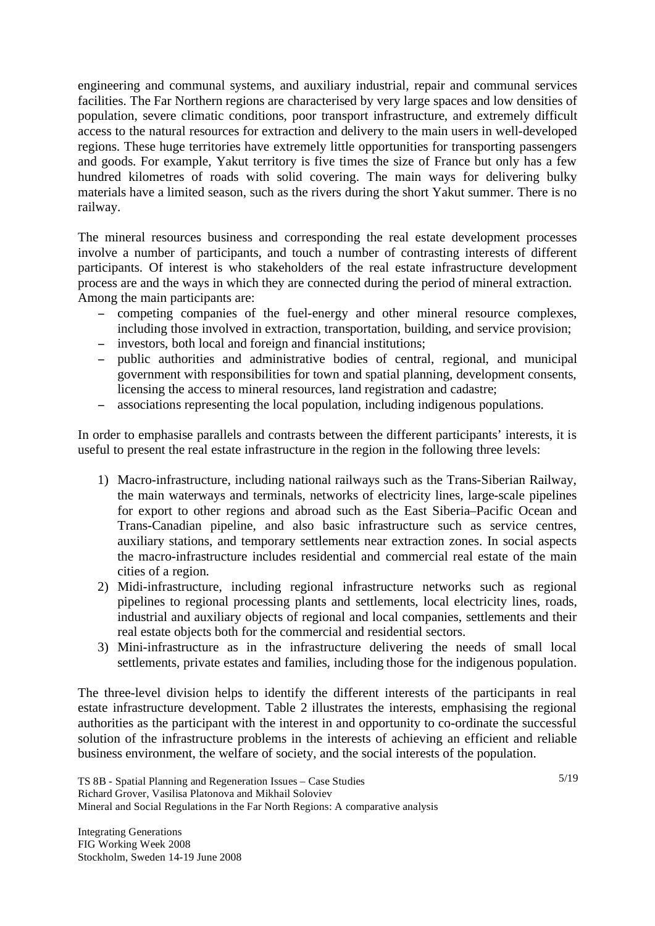engineering and communal systems, and auxiliary industrial, repair and communal services facilities. The Far Northern regions are characterised by very large spaces and low densities of population, severe climatic conditions, poor transport infrastructure, and extremely difficult access to the natural resources for extraction and delivery to the main users in well-developed regions. These huge territories have extremely little opportunities for transporting passengers and goods. For example, Yakut territory is five times the size of France but only has a few hundred kilometres of roads with solid covering. The main ways for delivering bulky materials have a limited season, such as the rivers during the short Yakut summer. There is no railway.

The mineral resources business and corresponding the real estate development processes involve a number of participants, and touch a number of contrasting interests of different participants. Of interest is who stakeholders of the real estate infrastructure development process are and the ways in which they are connected during the period of mineral extraction. Among the main participants are:

- competing companies of the fuel-energy and other mineral resource complexes, including those involved in extraction, transportation, building, and service provision;
- investors, both local and foreign and financial institutions;
- public authorities and administrative bodies of central, regional, and municipal government with responsibilities for town and spatial planning, development consents, licensing the access to mineral resources, land registration and cadastre;
- associations representing the local population, including indigenous populations.

In order to emphasise parallels and contrasts between the different participants' interests, it is useful to present the real estate infrastructure in the region in the following three levels:

- 1) Macro-infrastructure, including national railways such as the Trans-Siberian Railway, the main waterways and terminals, networks of electricity lines, large-scale pipelines for export to other regions and abroad such as the East Siberia–Pacific Ocean and Trans-Canadian pipeline, and also basic infrastructure such as service centres, auxiliary stations, and temporary settlements near extraction zones. In social aspects the macro-infrastructure includes residential and commercial real estate of the main cities of a region.
- 2) Midi-infrastructure, including regional infrastructure networks such as regional pipelines to regional processing plants and settlements, local electricity lines, roads, industrial and auxiliary objects of regional and local companies, settlements and their real estate objects both for the commercial and residential sectors.
- 3) Mini-infrastructure as in the infrastructure delivering the needs of small local settlements, private estates and families, including those for the indigenous population.

The three-level division helps to identify the different interests of the participants in real estate infrastructure development. Table 2 illustrates the interests, emphasising the regional authorities as the participant with the interest in and opportunity to co-ordinate the successful solution of the infrastructure problems in the interests of achieving an efficient and reliable business environment, the welfare of society, and the social interests of the population.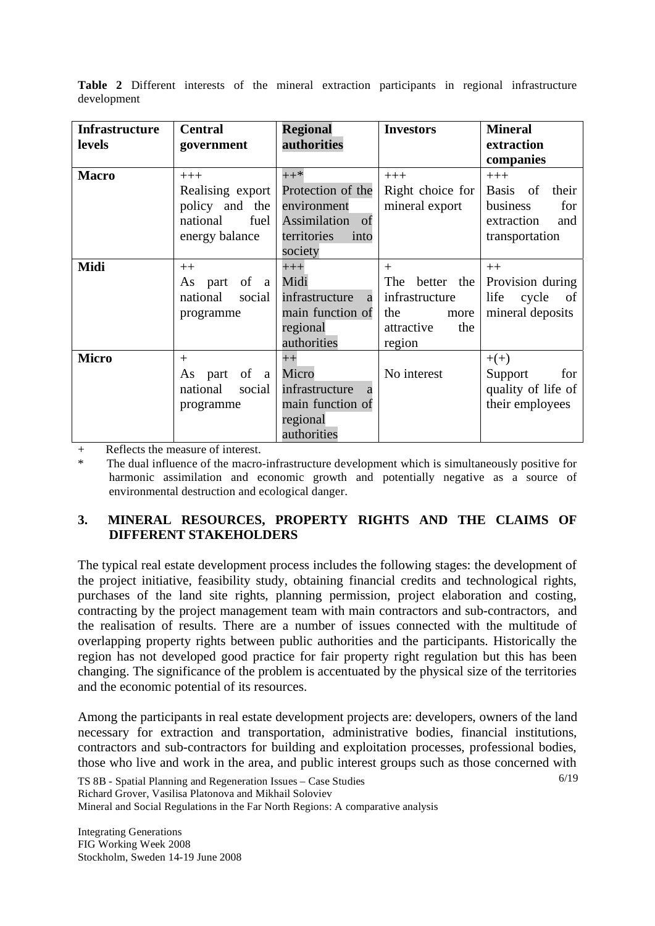| <b>Infrastructure</b><br>levels | <b>Central</b><br>government                                                      | <b>Regional</b><br>authorities                                                                    | <b>Investors</b>                                                                            | <b>Mineral</b><br>extraction<br>companies                                                                 |
|---------------------------------|-----------------------------------------------------------------------------------|---------------------------------------------------------------------------------------------------|---------------------------------------------------------------------------------------------|-----------------------------------------------------------------------------------------------------------|
| <b>Macro</b>                    | $+++$<br>Realising export<br>policy and the<br>national<br>fuel<br>energy balance | $++*$<br>Protection of the<br>environment<br>Assimilation<br>of<br>territories<br>into<br>society | $+++$<br>Right choice for<br>mineral export                                                 | $+++$<br><sub>of</sub><br><b>Basis</b><br>their<br>business<br>for<br>extraction<br>and<br>transportation |
| <b>Midi</b>                     | $++$<br>of a<br>part<br>As<br>national<br>social<br>programme                     | $+++$<br>Midi<br>infrastructure<br>a<br>main function of<br>regional<br>authorities               | $^{+}$<br>The<br>better the<br>infrastructure<br>the<br>more<br>attractive<br>the<br>region | $++$<br>Provision during<br>life<br>cycle<br>of<br>mineral deposits                                       |
| <b>Micro</b>                    | $^{+}$<br>of a<br>As part<br>national<br>social<br>programme                      | $^{++}$<br>Micro<br>infrastructure<br>a<br>main function of<br>regional<br>authorities            | No interest                                                                                 | $+(+)$<br>Support<br>for<br>quality of life of<br>their employees                                         |

**Table 2** Different interests of the mineral extraction participants in regional infrastructure development

+ Reflects the measure of interest.

The dual influence of the macro-infrastructure development which is simultaneously positive for harmonic assimilation and economic growth and potentially negative as a source of environmental destruction and ecological danger.

### **3. MINERAL RESOURCES, PROPERTY RIGHTS AND THE CLAIMS OF DIFFERENT STAKEHOLDERS**

The typical real estate development process includes the following stages: the development of the project initiative, feasibility study, obtaining financial credits and technological rights, purchases of the land site rights, planning permission, project elaboration and costing, contracting by the project management team with main contractors and sub-contractors, and the realisation of results. There are a number of issues connected with the multitude of overlapping property rights between public authorities and the participants. Historically the region has not developed good practice for fair property right regulation but this has been changing. The significance of the problem is accentuated by the physical size of the territories and the economic potential of its resources.

Among the participants in real estate development projects are: developers, owners of the land necessary for extraction and transportation, administrative bodies, financial institutions, contractors and sub-contractors for building and exploitation processes, professional bodies, those who live and work in the area, and public interest groups such as those concerned with

6/19

TS 8B - Spatial Planning and Regeneration Issues – Case Studies Richard Grover, Vasilisa Platonova and Mikhail Soloviev Mineral and Social Regulations in the Far North Regions: A comparative analysis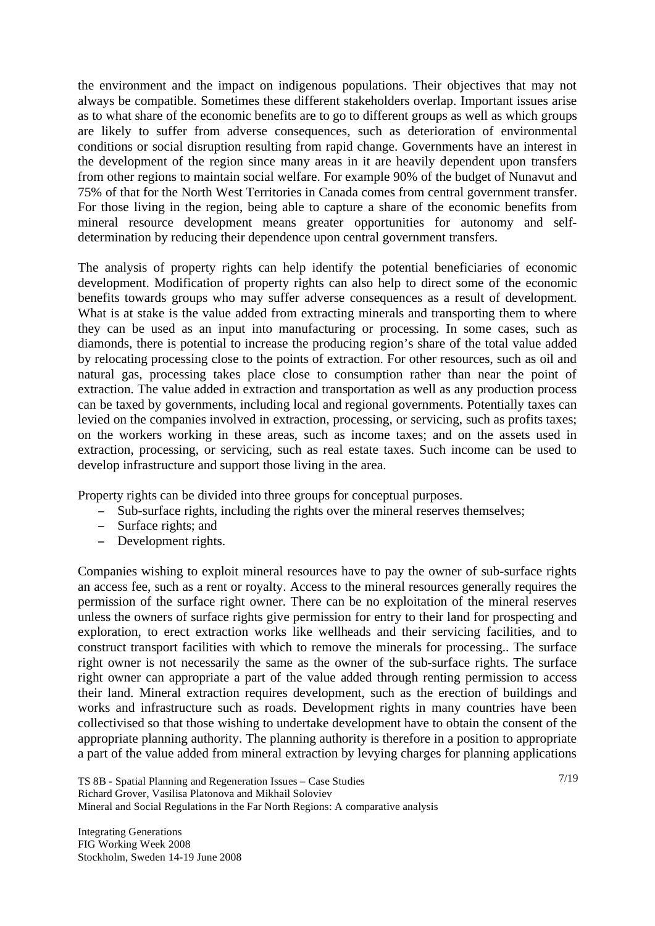the environment and the impact on indigenous populations. Their objectives that may not always be compatible. Sometimes these different stakeholders overlap. Important issues arise as to what share of the economic benefits are to go to different groups as well as which groups are likely to suffer from adverse consequences, such as deterioration of environmental conditions or social disruption resulting from rapid change. Governments have an interest in the development of the region since many areas in it are heavily dependent upon transfers from other regions to maintain social welfare. For example 90% of the budget of Nunavut and 75% of that for the North West Territories in Canada comes from central government transfer. For those living in the region, being able to capture a share of the economic benefits from mineral resource development means greater opportunities for autonomy and selfdetermination by reducing their dependence upon central government transfers.

The analysis of property rights can help identify the potential beneficiaries of economic development. Modification of property rights can also help to direct some of the economic benefits towards groups who may suffer adverse consequences as a result of development. What is at stake is the value added from extracting minerals and transporting them to where they can be used as an input into manufacturing or processing. In some cases, such as diamonds, there is potential to increase the producing region's share of the total value added by relocating processing close to the points of extraction. For other resources, such as oil and natural gas, processing takes place close to consumption rather than near the point of extraction. The value added in extraction and transportation as well as any production process can be taxed by governments, including local and regional governments. Potentially taxes can levied on the companies involved in extraction, processing, or servicing, such as profits taxes; on the workers working in these areas, such as income taxes; and on the assets used in extraction, processing, or servicing, such as real estate taxes. Such income can be used to develop infrastructure and support those living in the area.

Property rights can be divided into three groups for conceptual purposes.

- Sub-surface rights, including the rights over the mineral reserves themselves;
- Surface rights; and
- Development rights.

Companies wishing to exploit mineral resources have to pay the owner of sub-surface rights an access fee, such as a rent or royalty. Access to the mineral resources generally requires the permission of the surface right owner. There can be no exploitation of the mineral reserves unless the owners of surface rights give permission for entry to their land for prospecting and exploration, to erect extraction works like wellheads and their servicing facilities, and to construct transport facilities with which to remove the minerals for processing.. The surface right owner is not necessarily the same as the owner of the sub-surface rights. The surface right owner can appropriate a part of the value added through renting permission to access their land. Mineral extraction requires development, such as the erection of buildings and works and infrastructure such as roads. Development rights in many countries have been collectivised so that those wishing to undertake development have to obtain the consent of the appropriate planning authority. The planning authority is therefore in a position to appropriate a part of the value added from mineral extraction by levying charges for planning applications

TS 8B - Spatial Planning and Regeneration Issues – Case Studies Richard Grover, Vasilisa Platonova and Mikhail Soloviev Mineral and Social Regulations in the Far North Regions: A comparative analysis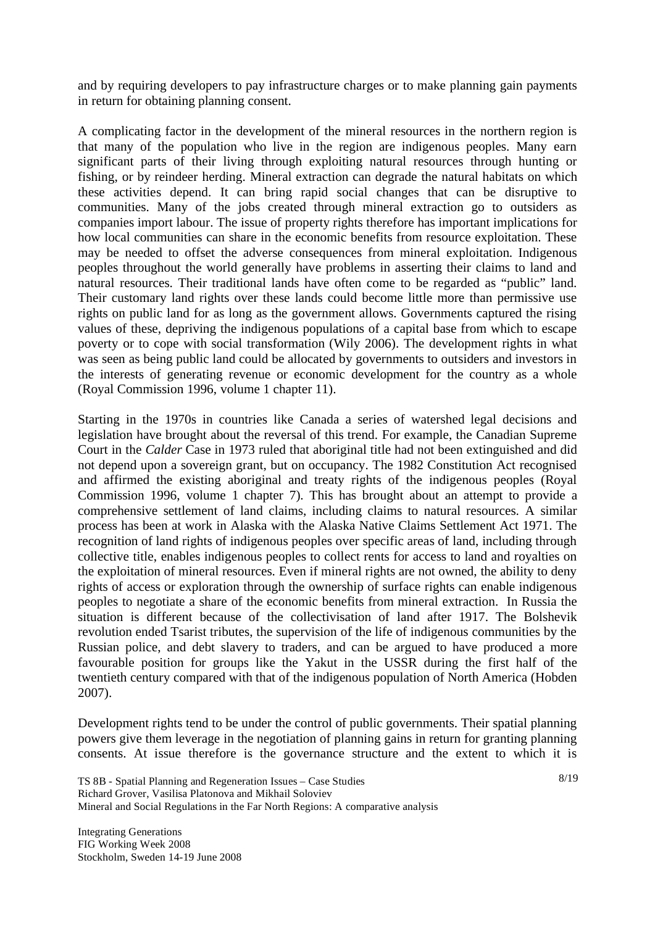and by requiring developers to pay infrastructure charges or to make planning gain payments in return for obtaining planning consent.

A complicating factor in the development of the mineral resources in the northern region is that many of the population who live in the region are indigenous peoples. Many earn significant parts of their living through exploiting natural resources through hunting or fishing, or by reindeer herding. Mineral extraction can degrade the natural habitats on which these activities depend. It can bring rapid social changes that can be disruptive to communities. Many of the jobs created through mineral extraction go to outsiders as companies import labour. The issue of property rights therefore has important implications for how local communities can share in the economic benefits from resource exploitation. These may be needed to offset the adverse consequences from mineral exploitation. Indigenous peoples throughout the world generally have problems in asserting their claims to land and natural resources. Their traditional lands have often come to be regarded as "public" land. Their customary land rights over these lands could become little more than permissive use rights on public land for as long as the government allows. Governments captured the rising values of these, depriving the indigenous populations of a capital base from which to escape poverty or to cope with social transformation (Wily 2006). The development rights in what was seen as being public land could be allocated by governments to outsiders and investors in the interests of generating revenue or economic development for the country as a whole (Royal Commission 1996, volume 1 chapter 11).

Starting in the 1970s in countries like Canada a series of watershed legal decisions and legislation have brought about the reversal of this trend. For example, the Canadian Supreme Court in the *Calder* Case in 1973 ruled that aboriginal title had not been extinguished and did not depend upon a sovereign grant, but on occupancy. The 1982 Constitution Act recognised and affirmed the existing aboriginal and treaty rights of the indigenous peoples (Royal Commission 1996, volume 1 chapter 7). This has brought about an attempt to provide a comprehensive settlement of land claims, including claims to natural resources. A similar process has been at work in Alaska with the Alaska Native Claims Settlement Act 1971. The recognition of land rights of indigenous peoples over specific areas of land, including through collective title, enables indigenous peoples to collect rents for access to land and royalties on the exploitation of mineral resources. Even if mineral rights are not owned, the ability to deny rights of access or exploration through the ownership of surface rights can enable indigenous peoples to negotiate a share of the economic benefits from mineral extraction. In Russia the situation is different because of the collectivisation of land after 1917. The Bolshevik revolution ended Tsarist tributes, the supervision of the life of indigenous communities by the Russian police, and debt slavery to traders, and can be argued to have produced a more favourable position for groups like the Yakut in the USSR during the first half of the twentieth century compared with that of the indigenous population of North America (Hobden 2007).

Development rights tend to be under the control of public governments. Their spatial planning powers give them leverage in the negotiation of planning gains in return for granting planning consents. At issue therefore is the governance structure and the extent to which it is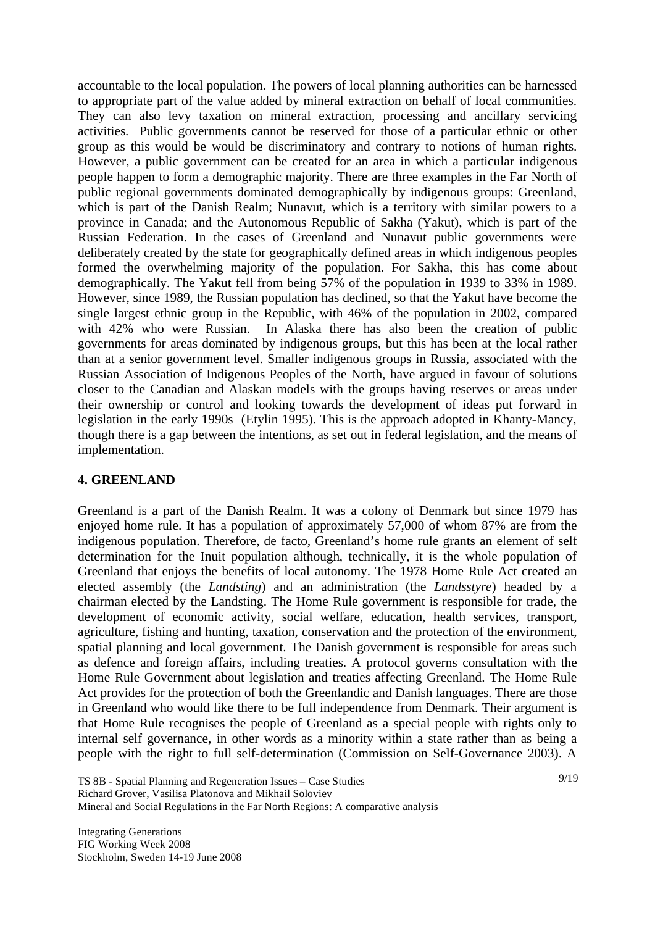accountable to the local population. The powers of local planning authorities can be harnessed to appropriate part of the value added by mineral extraction on behalf of local communities. They can also levy taxation on mineral extraction, processing and ancillary servicing activities. Public governments cannot be reserved for those of a particular ethnic or other group as this would be would be discriminatory and contrary to notions of human rights. However, a public government can be created for an area in which a particular indigenous people happen to form a demographic majority. There are three examples in the Far North of public regional governments dominated demographically by indigenous groups: Greenland, which is part of the Danish Realm; Nunavut, which is a territory with similar powers to a province in Canada; and the Autonomous Republic of Sakha (Yakut), which is part of the Russian Federation. In the cases of Greenland and Nunavut public governments were deliberately created by the state for geographically defined areas in which indigenous peoples formed the overwhelming majority of the population. For Sakha, this has come about demographically. The Yakut fell from being 57% of the population in 1939 to 33% in 1989. However, since 1989, the Russian population has declined, so that the Yakut have become the single largest ethnic group in the Republic, with 46% of the population in 2002, compared with 42% who were Russian. In Alaska there has also been the creation of public governments for areas dominated by indigenous groups, but this has been at the local rather than at a senior government level. Smaller indigenous groups in Russia, associated with the Russian Association of Indigenous Peoples of the North, have argued in favour of solutions closer to the Canadian and Alaskan models with the groups having reserves or areas under their ownership or control and looking towards the development of ideas put forward in legislation in the early 1990s (Etylin 1995). This is the approach adopted in Khanty-Mancy, though there is a gap between the intentions, as set out in federal legislation, and the means of implementation.

#### **4. GREENLAND**

Greenland is a part of the Danish Realm. It was a colony of Denmark but since 1979 has enjoyed home rule. It has a population of approximately 57,000 of whom 87% are from the indigenous population. Therefore, de facto, Greenland's home rule grants an element of self determination for the Inuit population although, technically, it is the whole population of Greenland that enjoys the benefits of local autonomy. The 1978 Home Rule Act created an elected assembly (the *Landsting*) and an administration (the *Landsstyre*) headed by a chairman elected by the Landsting. The Home Rule government is responsible for trade, the development of economic activity, social welfare, education, health services, transport, agriculture, fishing and hunting, taxation, conservation and the protection of the environment, spatial planning and local government. The Danish government is responsible for areas such as defence and foreign affairs, including treaties. A protocol governs consultation with the Home Rule Government about legislation and treaties affecting Greenland. The Home Rule Act provides for the protection of both the Greenlandic and Danish languages. There are those in Greenland who would like there to be full independence from Denmark. Their argument is that Home Rule recognises the people of Greenland as a special people with rights only to internal self governance, in other words as a minority within a state rather than as being a people with the right to full self-determination (Commission on Self-Governance 2003). A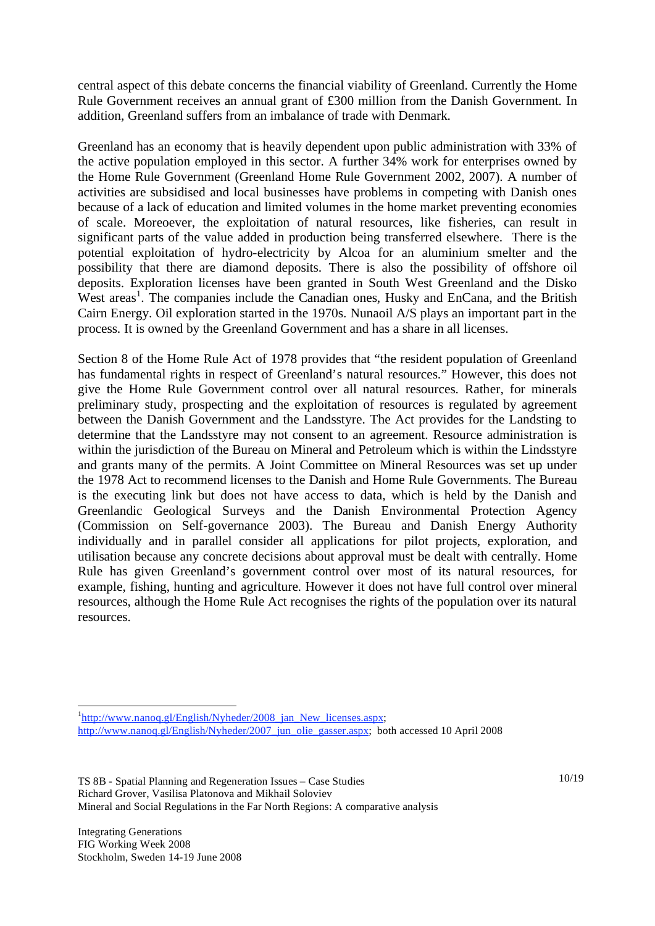central aspect of this debate concerns the financial viability of Greenland. Currently the Home Rule Government receives an annual grant of £300 million from the Danish Government. In addition, Greenland suffers from an imbalance of trade with Denmark.

Greenland has an economy that is heavily dependent upon public administration with 33% of the active population employed in this sector. A further 34% work for enterprises owned by the Home Rule Government (Greenland Home Rule Government 2002, 2007). A number of activities are subsidised and local businesses have problems in competing with Danish ones because of a lack of education and limited volumes in the home market preventing economies of scale. Moreoever, the exploitation of natural resources, like fisheries, can result in significant parts of the value added in production being transferred elsewhere. There is the potential exploitation of hydro-electricity by Alcoa for an aluminium smelter and the possibility that there are diamond deposits. There is also the possibility of offshore oil deposits. Exploration licenses have been granted in South West Greenland and the Disko West areas<sup>1</sup>. The companies include the Canadian ones, Husky and EnCana, and the British Cairn Energy. Oil exploration started in the 1970s. Nunaoil A/S plays an important part in the process. It is owned by the Greenland Government and has a share in all licenses.

Section 8 of the Home Rule Act of 1978 provides that "the resident population of Greenland has fundamental rights in respect of Greenland's natural resources." However, this does not give the Home Rule Government control over all natural resources. Rather, for minerals preliminary study, prospecting and the exploitation of resources is regulated by agreement between the Danish Government and the Landsstyre. The Act provides for the Landsting to determine that the Landsstyre may not consent to an agreement. Resource administration is within the jurisdiction of the Bureau on Mineral and Petroleum which is within the Lindsstyre and grants many of the permits. A Joint Committee on Mineral Resources was set up under the 1978 Act to recommend licenses to the Danish and Home Rule Governments. The Bureau is the executing link but does not have access to data, which is held by the Danish and Greenlandic Geological Surveys and the Danish Environmental Protection Agency (Commission on Self-governance 2003). The Bureau and Danish Energy Authority individually and in parallel consider all applications for pilot projects, exploration, and utilisation because any concrete decisions about approval must be dealt with centrally. Home Rule has given Greenland's government control over most of its natural resources, for example, fishing, hunting and agriculture. However it does not have full control over mineral resources, although the Home Rule Act recognises the rights of the population over its natural resources.

l

<sup>&</sup>lt;sup>1</sup>http://www.nanoq.gl/English/Nyheder/2008 jan New licenses.aspx; http://www.nanoq.gl/English/Nyheder/2007\_jun\_olie\_gasser.aspx; both accessed 10 April 2008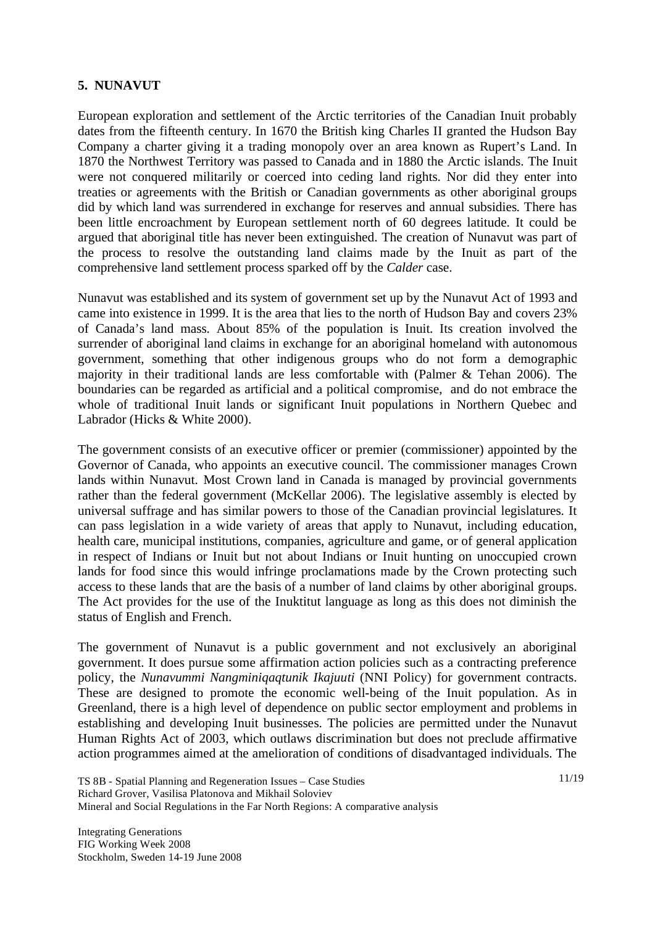### **5. NUNAVUT**

European exploration and settlement of the Arctic territories of the Canadian Inuit probably dates from the fifteenth century. In 1670 the British king Charles II granted the Hudson Bay Company a charter giving it a trading monopoly over an area known as Rupert's Land. In 1870 the Northwest Territory was passed to Canada and in 1880 the Arctic islands. The Inuit were not conquered militarily or coerced into ceding land rights. Nor did they enter into treaties or agreements with the British or Canadian governments as other aboriginal groups did by which land was surrendered in exchange for reserves and annual subsidies. There has been little encroachment by European settlement north of 60 degrees latitude. It could be argued that aboriginal title has never been extinguished. The creation of Nunavut was part of the process to resolve the outstanding land claims made by the Inuit as part of the comprehensive land settlement process sparked off by the *Calder* case.

Nunavut was established and its system of government set up by the Nunavut Act of 1993 and came into existence in 1999. It is the area that lies to the north of Hudson Bay and covers 23% of Canada's land mass. About 85% of the population is Inuit. Its creation involved the surrender of aboriginal land claims in exchange for an aboriginal homeland with autonomous government, something that other indigenous groups who do not form a demographic majority in their traditional lands are less comfortable with (Palmer & Tehan 2006). The boundaries can be regarded as artificial and a political compromise, and do not embrace the whole of traditional Inuit lands or significant Inuit populations in Northern Ouebec and Labrador (Hicks & White 2000).

The government consists of an executive officer or premier (commissioner) appointed by the Governor of Canada, who appoints an executive council. The commissioner manages Crown lands within Nunavut. Most Crown land in Canada is managed by provincial governments rather than the federal government (McKellar 2006). The legislative assembly is elected by universal suffrage and has similar powers to those of the Canadian provincial legislatures. It can pass legislation in a wide variety of areas that apply to Nunavut, including education, health care, municipal institutions, companies, agriculture and game, or of general application in respect of Indians or Inuit but not about Indians or Inuit hunting on unoccupied crown lands for food since this would infringe proclamations made by the Crown protecting such access to these lands that are the basis of a number of land claims by other aboriginal groups. The Act provides for the use of the Inuktitut language as long as this does not diminish the status of English and French.

The government of Nunavut is a public government and not exclusively an aboriginal government. It does pursue some affirmation action policies such as a contracting preference policy, the *Nunavummi Nangminiqaqtunik Ikajuuti* (NNI Policy) for government contracts. These are designed to promote the economic well-being of the Inuit population. As in Greenland, there is a high level of dependence on public sector employment and problems in establishing and developing Inuit businesses. The policies are permitted under the Nunavut Human Rights Act of 2003, which outlaws discrimination but does not preclude affirmative action programmes aimed at the amelioration of conditions of disadvantaged individuals. The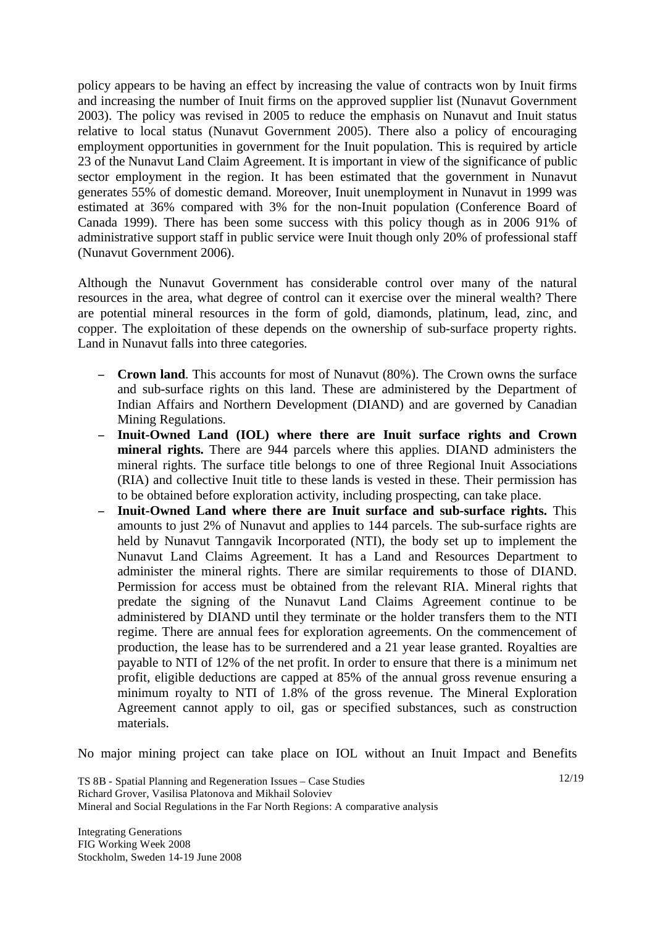policy appears to be having an effect by increasing the value of contracts won by Inuit firms and increasing the number of Inuit firms on the approved supplier list (Nunavut Government 2003). The policy was revised in 2005 to reduce the emphasis on Nunavut and Inuit status relative to local status (Nunavut Government 2005). There also a policy of encouraging employment opportunities in government for the Inuit population. This is required by article 23 of the Nunavut Land Claim Agreement. It is important in view of the significance of public sector employment in the region. It has been estimated that the government in Nunavut generates 55% of domestic demand. Moreover, Inuit unemployment in Nunavut in 1999 was estimated at 36% compared with 3% for the non-Inuit population (Conference Board of Canada 1999). There has been some success with this policy though as in 2006 91% of administrative support staff in public service were Inuit though only 20% of professional staff (Nunavut Government 2006).

Although the Nunavut Government has considerable control over many of the natural resources in the area, what degree of control can it exercise over the mineral wealth? There are potential mineral resources in the form of gold, diamonds, platinum, lead, zinc, and copper. The exploitation of these depends on the ownership of sub-surface property rights. Land in Nunavut falls into three categories.

- **Crown land**. This accounts for most of Nunavut (80%). The Crown owns the surface and sub-surface rights on this land. These are administered by the Department of Indian Affairs and Northern Development (DIAND) and are governed by Canadian Mining Regulations.
- **Inuit-Owned Land (IOL) where there are Inuit surface rights and Crown mineral rights.** There are 944 parcels where this applies. DIAND administers the mineral rights. The surface title belongs to one of three Regional Inuit Associations (RIA) and collective Inuit title to these lands is vested in these. Their permission has to be obtained before exploration activity, including prospecting, can take place.
- **Inuit-Owned Land where there are Inuit surface and sub-surface rights.** This amounts to just 2% of Nunavut and applies to 144 parcels. The sub-surface rights are held by Nunavut Tanngavik Incorporated (NTI), the body set up to implement the Nunavut Land Claims Agreement. It has a Land and Resources Department to administer the mineral rights. There are similar requirements to those of DIAND. Permission for access must be obtained from the relevant RIA. Mineral rights that predate the signing of the Nunavut Land Claims Agreement continue to be administered by DIAND until they terminate or the holder transfers them to the NTI regime. There are annual fees for exploration agreements. On the commencement of production, the lease has to be surrendered and a 21 year lease granted. Royalties are payable to NTI of 12% of the net profit. In order to ensure that there is a minimum net profit, eligible deductions are capped at 85% of the annual gross revenue ensuring a minimum royalty to NTI of 1.8% of the gross revenue. The Mineral Exploration Agreement cannot apply to oil, gas or specified substances, such as construction materials.

No major mining project can take place on IOL without an Inuit Impact and Benefits

TS 8B - Spatial Planning and Regeneration Issues – Case Studies Richard Grover, Vasilisa Platonova and Mikhail Soloviev Mineral and Social Regulations in the Far North Regions: A comparative analysis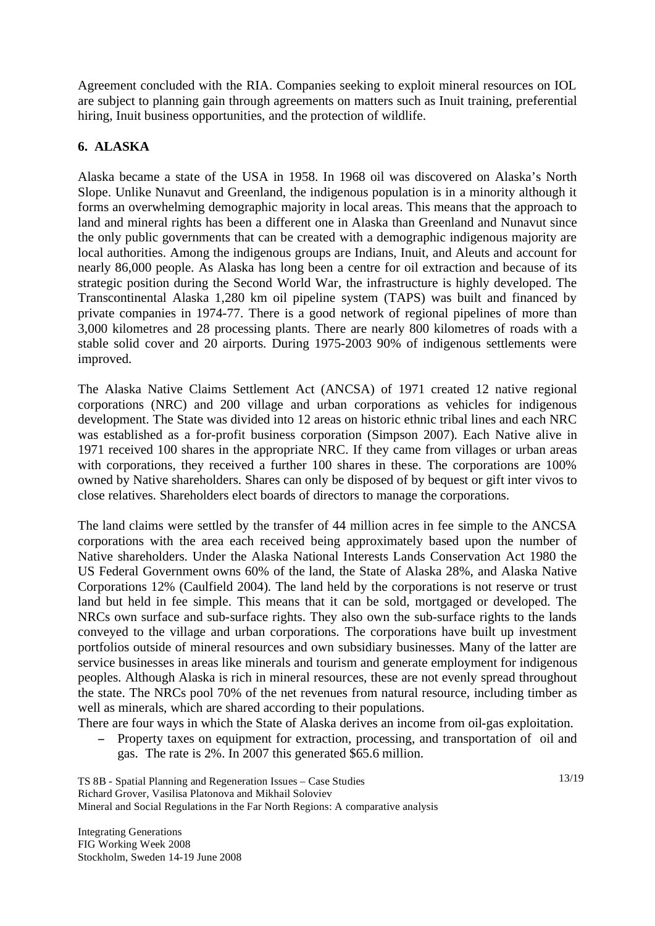Agreement concluded with the RIA. Companies seeking to exploit mineral resources on IOL are subject to planning gain through agreements on matters such as Inuit training, preferential hiring, Inuit business opportunities, and the protection of wildlife.

# **6. ALASKA**

Alaska became a state of the USA in 1958. In 1968 oil was discovered on Alaska's North Slope. Unlike Nunavut and Greenland, the indigenous population is in a minority although it forms an overwhelming demographic majority in local areas. This means that the approach to land and mineral rights has been a different one in Alaska than Greenland and Nunavut since the only public governments that can be created with a demographic indigenous majority are local authorities. Among the indigenous groups are Indians, Inuit, and Aleuts and account for nearly 86,000 people. As Alaska has long been a centre for oil extraction and because of its strategic position during the Second World War, the infrastructure is highly developed. The Transcontinental Alaska 1,280 km oil pipeline system (TAPS) was built and financed by private companies in 1974-77. There is a good network of regional pipelines of more than 3,000 kilometres and 28 processing plants. There are nearly 800 kilometres of roads with a stable solid cover and 20 airports. During 1975-2003 90% of indigenous settlements were improved.

The Alaska Native Claims Settlement Act (ANCSA) of 1971 created 12 native regional corporations (NRC) and 200 village and urban corporations as vehicles for indigenous development. The State was divided into 12 areas on historic ethnic tribal lines and each NRC was established as a for-profit business corporation (Simpson 2007). Each Native alive in 1971 received 100 shares in the appropriate NRC. If they came from villages or urban areas with corporations, they received a further 100 shares in these. The corporations are 100% owned by Native shareholders. Shares can only be disposed of by bequest or gift inter vivos to close relatives. Shareholders elect boards of directors to manage the corporations.

The land claims were settled by the transfer of 44 million acres in fee simple to the ANCSA corporations with the area each received being approximately based upon the number of Native shareholders. Under the Alaska National Interests Lands Conservation Act 1980 the US Federal Government owns 60% of the land, the State of Alaska 28%, and Alaska Native Corporations 12% (Caulfield 2004). The land held by the corporations is not reserve or trust land but held in fee simple. This means that it can be sold, mortgaged or developed. The NRCs own surface and sub-surface rights. They also own the sub-surface rights to the lands conveyed to the village and urban corporations. The corporations have built up investment portfolios outside of mineral resources and own subsidiary businesses. Many of the latter are service businesses in areas like minerals and tourism and generate employment for indigenous peoples. Although Alaska is rich in mineral resources, these are not evenly spread throughout the state. The NRCs pool 70% of the net revenues from natural resource, including timber as well as minerals, which are shared according to their populations.

There are four ways in which the State of Alaska derives an income from oil-gas exploitation.

 Property taxes on equipment for extraction, processing, and transportation of oil and gas. The rate is 2%. In 2007 this generated \$65.6 million.

TS 8B - Spatial Planning and Regeneration Issues – Case Studies Richard Grover, Vasilisa Platonova and Mikhail Soloviev Mineral and Social Regulations in the Far North Regions: A comparative analysis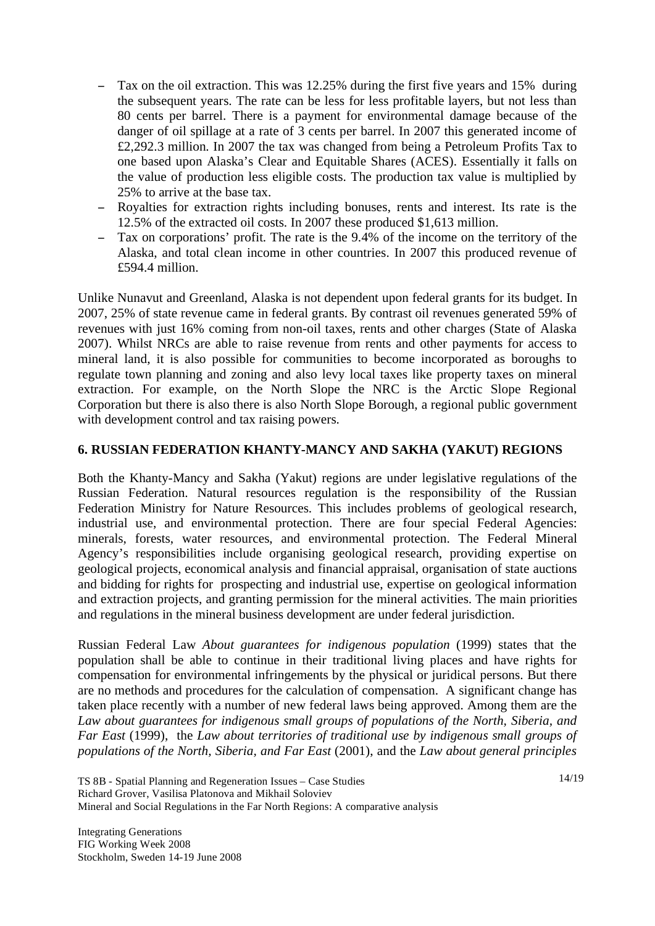- Tax on the oil extraction. This was 12.25% during the first five years and 15% during the subsequent years. The rate can be less for less profitable layers, but not less than 80 cents per barrel. There is a payment for environmental damage because of the danger of oil spillage at a rate of 3 cents per barrel. In 2007 this generated income of £2,292.3 million. In 2007 the tax was changed from being a Petroleum Profits Tax to one based upon Alaska's Clear and Equitable Shares (ACES). Essentially it falls on the value of production less eligible costs. The production tax value is multiplied by 25% to arrive at the base tax.
- Royalties for extraction rights including bonuses, rents and interest. Its rate is the 12.5% of the extracted oil costs. In 2007 these produced \$1,613 million.
- Tax on corporations' profit. The rate is the 9.4% of the income on the territory of the Alaska, and total clean income in other countries. In 2007 this produced revenue of £594.4 million.

Unlike Nunavut and Greenland, Alaska is not dependent upon federal grants for its budget. In 2007, 25% of state revenue came in federal grants. By contrast oil revenues generated 59% of revenues with just 16% coming from non-oil taxes, rents and other charges (State of Alaska 2007). Whilst NRCs are able to raise revenue from rents and other payments for access to mineral land, it is also possible for communities to become incorporated as boroughs to regulate town planning and zoning and also levy local taxes like property taxes on mineral extraction. For example, on the North Slope the NRC is the Arctic Slope Regional Corporation but there is also there is also North Slope Borough, a regional public government with development control and tax raising powers.

## **6. RUSSIAN FEDERATION KHANTY-MANCY AND SAKHA (YAKUT) REGIONS**

Both the Khanty-Mancy and Sakha (Yakut) regions are under legislative regulations of the Russian Federation. Natural resources regulation is the responsibility of the Russian Federation Ministry for Nature Resources. This includes problems of geological research, industrial use, and environmental protection. There are four special Federal Agencies: minerals, forests, water resources, and environmental protection. The Federal Mineral Agency's responsibilities include organising geological research, providing expertise on geological projects, economical analysis and financial appraisal, organisation of state auctions and bidding for rights for prospecting and industrial use, expertise on geological information and extraction projects, and granting permission for the mineral activities. The main priorities and regulations in the mineral business development are under federal jurisdiction.

Russian Federal Law *About guarantees for indigenous population* (1999) states that the population shall be able to continue in their traditional living places and have rights for compensation for environmental infringements by the physical or juridical persons. But there are no methods and procedures for the calculation of compensation. A significant change has taken place recently with a number of new federal laws being approved. Among them are the *Law about guarantees for indigenous small groups of populations of the North, Siberia, and Far East* (1999), the *Law about territories of traditional use by indigenous small groups of populations of the North, Siberia, and Far East* (2001), and the *Law about general principles* 

TS 8B - Spatial Planning and Regeneration Issues – Case Studies Richard Grover, Vasilisa Platonova and Mikhail Soloviev Mineral and Social Regulations in the Far North Regions: A comparative analysis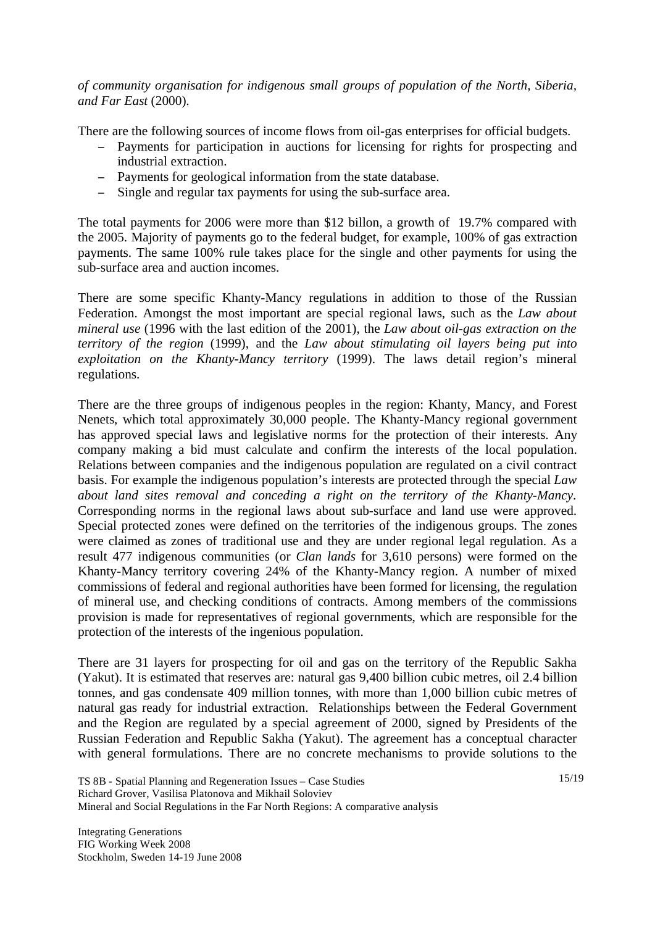*of community organisation for indigenous small groups of population of the North, Siberia, and Far East* (2000).

There are the following sources of income flows from oil-gas enterprises for official budgets.

- Payments for participation in auctions for licensing for rights for prospecting and industrial extraction.
- Payments for geological information from the state database.
- Single and regular tax payments for using the sub-surface area.

The total payments for 2006 were more than \$12 billon, a growth of 19.7% compared with the 2005. Majority of payments go to the federal budget, for example, 100% of gas extraction payments. The same 100% rule takes place for the single and other payments for using the sub-surface area and auction incomes.

There are some specific Khanty-Mancy regulations in addition to those of the Russian Federation. Amongst the most important are special regional laws, such as the *Law about mineral use* (1996 with the last edition of the 2001), the *Law about oil-gas extraction on the territory of the region* (1999), and the *Law about stimulating oil layers being put into exploitation on the Khanty-Mancy territory* (1999). The laws detail region's mineral regulations.

There are the three groups of indigenous peoples in the region: Khanty, Mancy, and Forest Nenets, which total approximately 30,000 people. The Khanty-Mancy regional government has approved special laws and legislative norms for the protection of their interests. Any company making a bid must calculate and confirm the interests of the local population. Relations between companies and the indigenous population are regulated on a civil contract basis. For example the indigenous population's interests are protected through the special *Law about land sites removal and conceding a right on the territory of the Khanty-Mancy*. Corresponding norms in the regional laws about sub-surface and land use were approved. Special protected zones were defined on the territories of the indigenous groups. The zones were claimed as zones of traditional use and they are under regional legal regulation. As a result 477 indigenous communities (or *Clan lands* for 3,610 persons) were formed on the Khanty-Mancy territory covering 24% of the Khanty-Mancy region. A number of mixed commissions of federal and regional authorities have been formed for licensing, the regulation of mineral use, and checking conditions of contracts. Among members of the commissions provision is made for representatives of regional governments, which are responsible for the protection of the interests of the ingenious population.

There are 31 layers for prospecting for oil and gas on the territory of the Republic Sakha (Yakut). It is estimated that reserves are: natural gas 9,400 billion cubic metres, oil 2.4 billion tonnes, and gas condensate 409 million tonnes, with more than 1,000 billion cubic metres of natural gas ready for industrial extraction. Relationships between the Federal Government and the Region are regulated by a special agreement of 2000, signed by Presidents of the Russian Federation and Republic Sakha (Yakut). The agreement has a conceptual character with general formulations. There are no concrete mechanisms to provide solutions to the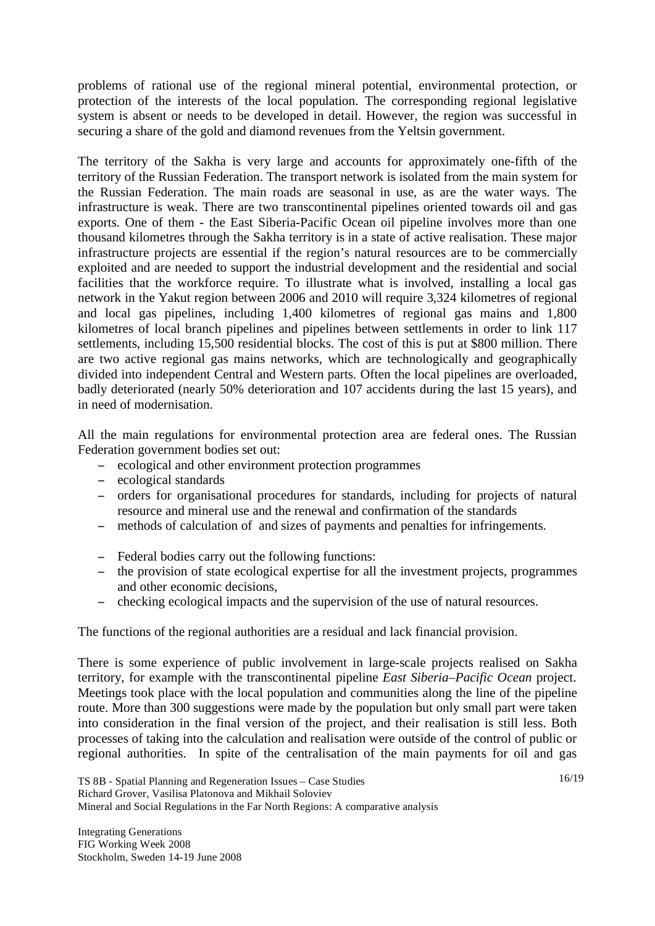problems of rational use of the regional mineral potential, environmental protection, or protection of the interests of the local population. The corresponding regional legislative system is absent or needs to be developed in detail. However, the region was successful in securing a share of the gold and diamond revenues from the Yeltsin government.

The territory of the Sakha is very large and accounts for approximately one-fifth of the territory of the Russian Federation. The transport network is isolated from the main system for the Russian Federation. The main roads are seasonal in use, as are the water ways. The infrastructure is weak. There are two transcontinental pipelines oriented towards oil and gas exports. One of them - the East Siberia-Pacific Ocean oil pipeline involves more than one thousand kilometres through the Sakha territory is in a state of active realisation. These major infrastructure projects are essential if the region's natural resources are to be commercially exploited and are needed to support the industrial development and the residential and social facilities that the workforce require. To illustrate what is involved, installing a local gas network in the Yakut region between 2006 and 2010 will require 3,324 kilometres of regional and local gas pipelines, including 1,400 kilometres of regional gas mains and 1,800 kilometres of local branch pipelines and pipelines between settlements in order to link 117 settlements, including 15,500 residential blocks. The cost of this is put at \$800 million. There are two active regional gas mains networks, which are technologically and geographically divided into independent Central and Western parts. Often the local pipelines are overloaded, badly deteriorated (nearly 50% deterioration and 107 accidents during the last 15 years), and in need of modernisation.

All the main regulations for environmental protection area are federal ones. The Russian Federation government bodies set out:

- ecological and other environment protection programmes
- ecological standards
- orders for organisational procedures for standards, including for projects of natural resource and mineral use and the renewal and confirmation of the standards
- methods of calculation of and sizes of payments and penalties for infringements.
- Federal bodies carry out the following functions:
- the provision of state ecological expertise for all the investment projects, programmes and other economic decisions,
- checking ecological impacts and the supervision of the use of natural resources.

The functions of the regional authorities are a residual and lack financial provision.

There is some experience of public involvement in large-scale projects realised on Sakha territory, for example with the transcontinental pipeline *East Siberia–Pacific Ocean* project. Meetings took place with the local population and communities along the line of the pipeline route. More than 300 suggestions were made by the population but only small part were taken into consideration in the final version of the project, and their realisation is still less. Both processes of taking into the calculation and realisation were outside of the control of public or regional authorities. In spite of the centralisation of the main payments for oil and gas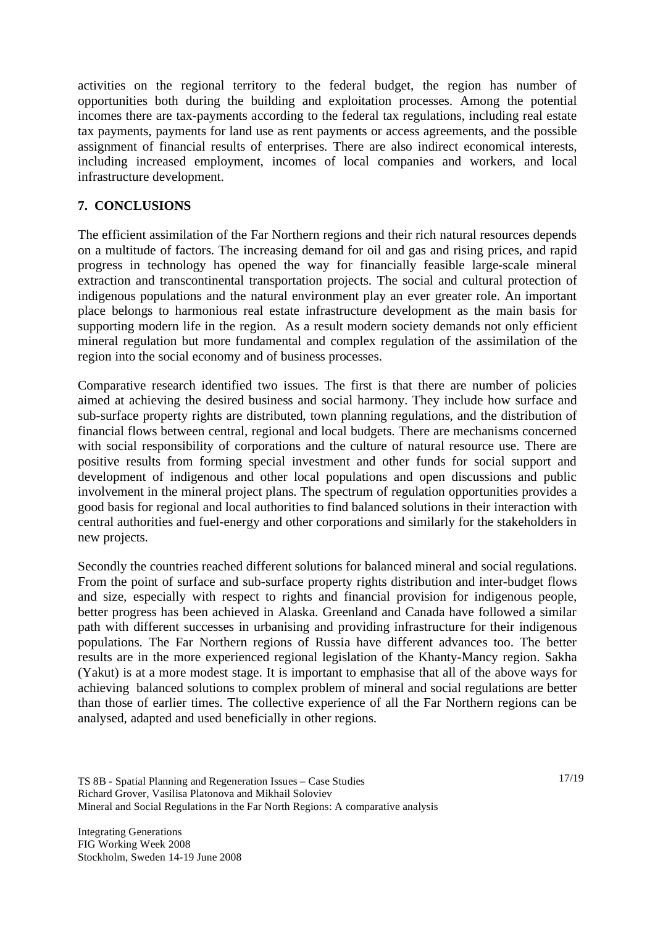activities on the regional territory to the federal budget, the region has number of opportunities both during the building and exploitation processes. Among the potential incomes there are tax-payments according to the federal tax regulations, including real estate tax payments, payments for land use as rent payments or access agreements, and the possible assignment of financial results of enterprises. There are also indirect economical interests, including increased employment, incomes of local companies and workers, and local infrastructure development.

## **7. CONCLUSIONS**

The efficient assimilation of the Far Northern regions and their rich natural resources depends on a multitude of factors. The increasing demand for oil and gas and rising prices, and rapid progress in technology has opened the way for financially feasible large-scale mineral extraction and transcontinental transportation projects. The social and cultural protection of indigenous populations and the natural environment play an ever greater role. An important place belongs to harmonious real estate infrastructure development as the main basis for supporting modern life in the region. As a result modern society demands not only efficient mineral regulation but more fundamental and complex regulation of the assimilation of the region into the social economy and of business processes.

Comparative research identified two issues. The first is that there are number of policies aimed at achieving the desired business and social harmony. They include how surface and sub-surface property rights are distributed, town planning regulations, and the distribution of financial flows between central, regional and local budgets. There are mechanisms concerned with social responsibility of corporations and the culture of natural resource use. There are positive results from forming special investment and other funds for social support and development of indigenous and other local populations and open discussions and public involvement in the mineral project plans. The spectrum of regulation opportunities provides a good basis for regional and local authorities to find balanced solutions in their interaction with central authorities and fuel-energy and other corporations and similarly for the stakeholders in new projects.

Secondly the countries reached different solutions for balanced mineral and social regulations. From the point of surface and sub-surface property rights distribution and inter-budget flows and size, especially with respect to rights and financial provision for indigenous people, better progress has been achieved in Alaska. Greenland and Canada have followed a similar path with different successes in urbanising and providing infrastructure for their indigenous populations. The Far Northern regions of Russia have different advances too. The better results are in the more experienced regional legislation of the Khanty-Mancy region. Sakha (Yakut) is at a more modest stage. It is important to emphasise that all of the above ways for achieving balanced solutions to complex problem of mineral and social regulations are better than those of earlier times. The collective experience of all the Far Northern regions can be analysed, adapted and used beneficially in other regions.

TS 8B - Spatial Planning and Regeneration Issues – Case Studies Richard Grover, Vasilisa Platonova and Mikhail Soloviev Mineral and Social Regulations in the Far North Regions: A comparative analysis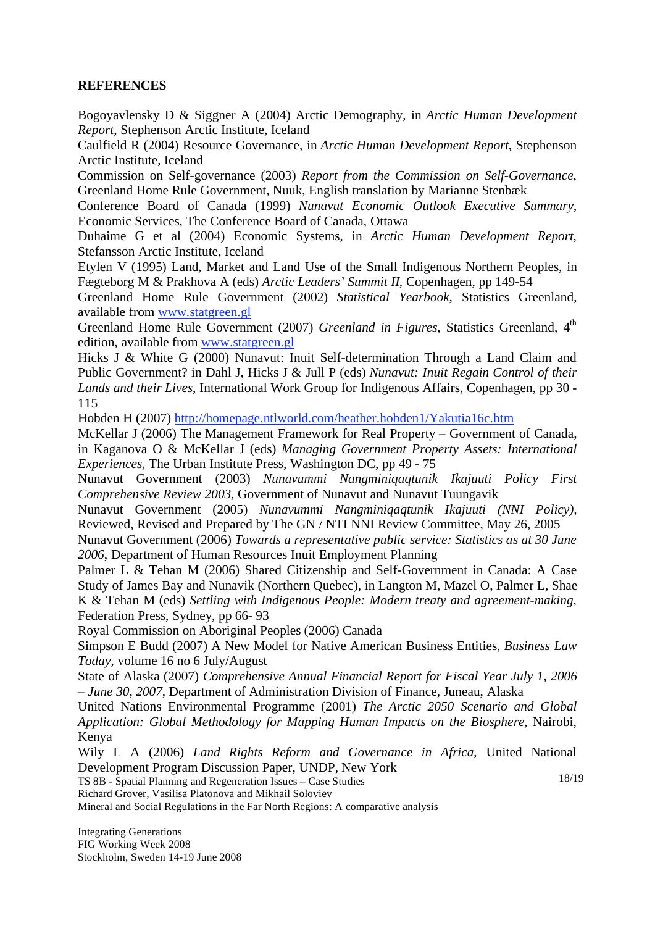### **REFERENCES**

Bogoyavlensky D & Siggner A (2004) Arctic Demography, in *Arctic Human Development Report*, Stephenson Arctic Institute, Iceland

Caulfield R (2004) Resource Governance, in *Arctic Human Development Report*, Stephenson Arctic Institute, Iceland

Commission on Self-governance (2003) *Report from the Commission on Self-Governance*, Greenland Home Rule Government, Nuuk, English translation by Marianne Stenbæk

Conference Board of Canada (1999) *Nunavut Economic Outlook Executive Summary,*  Economic Services, The Conference Board of Canada, Ottawa

Duhaime G et al (2004) Economic Systems, in *Arctic Human Development Report*, Stefansson Arctic Institute, Iceland

Etylen V (1995) Land, Market and Land Use of the Small Indigenous Northern Peoples, in Fægteborg M & Prakhova A (eds) *Arctic Leaders' Summit II*, Copenhagen, pp 149-54

Greenland Home Rule Government (2002) *Statistical Yearbook*, Statistics Greenland, available from www.statgreen.gl

Greenland Home Rule Government (2007) *Greenland in Figures*, Statistics Greenland, 4<sup>th</sup> edition, available from www.statgreen.gl

Hicks J & White G (2000) Nunavut: Inuit Self-determination Through a Land Claim and Public Government? in Dahl J, Hicks J & Jull P (eds) *Nunavut: Inuit Regain Control of their Lands and their Lives*, International Work Group for Indigenous Affairs, Copenhagen, pp 30 - 115

Hobden H (2007) http://homepage.ntlworld.com/heather.hobden1/Yakutia16c.htm

McKellar J (2006) The Management Framework for Real Property – Government of Canada, in Kaganova O & McKellar J (eds) *Managing Government Property Assets: International Experiences*, The Urban Institute Press, Washington DC, pp 49 - 75

Nunavut Government (2003) *Nunavummi Nangminiqaqtunik Ikajuuti Policy First Comprehensive Review 2003*, Government of Nunavut and Nunavut Tuungavik

Nunavut Government (2005) *Nunavummi Nangminiqaqtunik Ikajuuti (NNI Policy),* Reviewed, Revised and Prepared by The GN / NTI NNI Review Committee, May 26, 2005

Nunavut Government (2006) *Towards a representative public service: Statistics as at 30 June 2006*, Department of Human Resources Inuit Employment Planning

Palmer L & Tehan M (2006) Shared Citizenship and Self-Government in Canada: A Case Study of James Bay and Nunavik (Northern Quebec), in Langton M, Mazel O, Palmer L, Shae K & Tehan M (eds) *Settling with Indigenous People: Modern treaty and agreement-making*, Federation Press, Sydney, pp 66- 93

Royal Commission on Aboriginal Peoples (2006) Canada

Simpson E Budd (2007) A New Model for Native American Business Entities, *Business Law Today*, volume 16 no 6 July/August

State of Alaska (2007) *Comprehensive Annual Financial Report for Fiscal Year July 1, 2006 – June 30, 2007*, Department of Administration Division of Finance, Juneau, Alaska

United Nations Environmental Programme (2001) *The Arctic 2050 Scenario and Global Application: Global Methodology for Mapping Human Impacts on the Biosphere*, Nairobi, Kenya

18/19 Wily L A (2006) *Land Rights Reform and Governance in Africa*, United National Development Program Discussion Paper, UNDP, New York

TS 8B - Spatial Planning and Regeneration Issues – Case Studies

Richard Grover, Vasilisa Platonova and Mikhail Soloviev

Mineral and Social Regulations in the Far North Regions: A comparative analysis